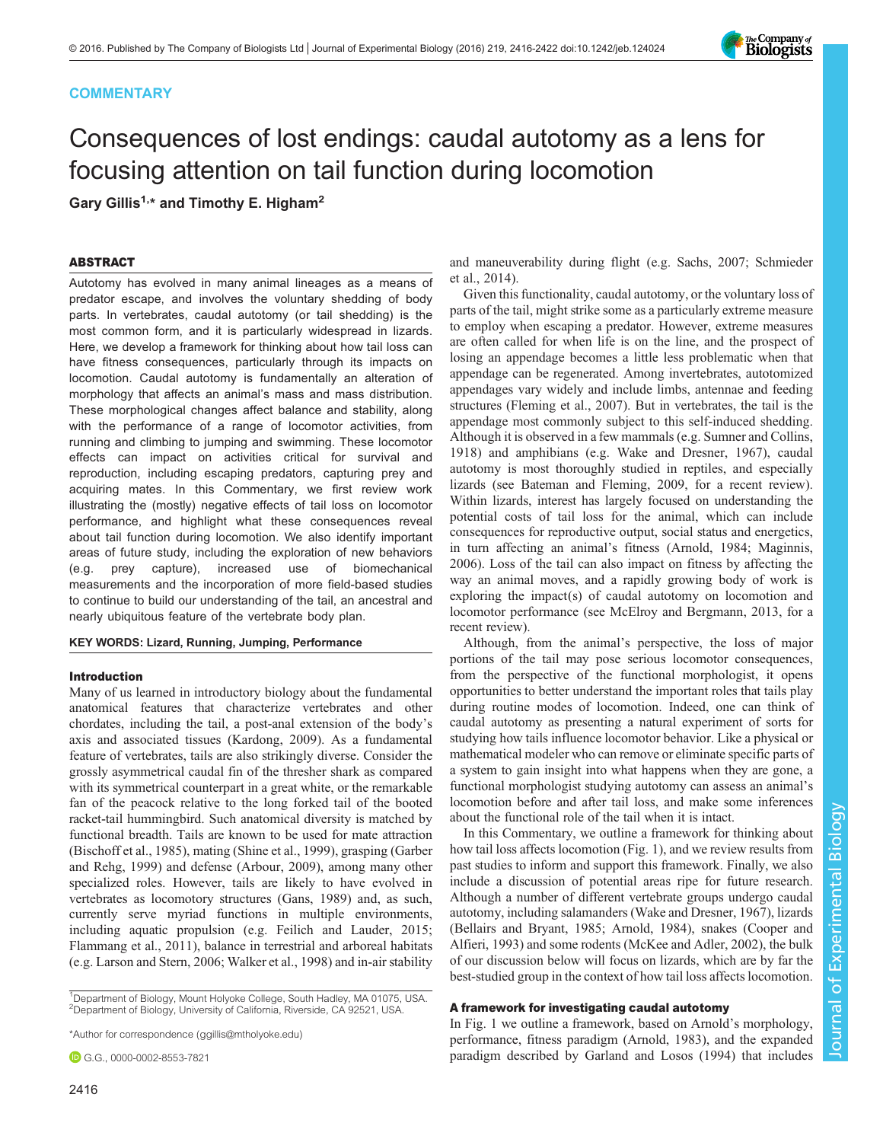# **COMMENTARY**

# Consequences of lost endings: caudal autotomy as a lens for focusing attention on tail function during locomotion

Gary Gillis<sup>1,\*</sup> and Timothy E. Higham<sup>2</sup>

# ABSTRACT

Autotomy has evolved in many animal lineages as a means of predator escape, and involves the voluntary shedding of body parts. In vertebrates, caudal autotomy (or tail shedding) is the most common form, and it is particularly widespread in lizards. Here, we develop a framework for thinking about how tail loss can have fitness consequences, particularly through its impacts on locomotion. Caudal autotomy is fundamentally an alteration of morphology that affects an animal's mass and mass distribution. These morphological changes affect balance and stability, along with the performance of a range of locomotor activities, from running and climbing to jumping and swimming. These locomotor effects can impact on activities critical for survival and reproduction, including escaping predators, capturing prey and acquiring mates. In this Commentary, we first review work illustrating the (mostly) negative effects of tail loss on locomotor performance, and highlight what these consequences reveal about tail function during locomotion. We also identify important areas of future study, including the exploration of new behaviors (e.g. prey capture), increased use of biomechanical measurements and the incorporation of more field-based studies to continue to build our understanding of the tail, an ancestral and nearly ubiquitous feature of the vertebrate body plan.

## KEY WORDS: Lizard, Running, Jumping, Performance

#### Introduction

Many of us learned in introductory biology about the fundamental anatomical features that characterize vertebrates and other chordates, including the tail, a post-anal extension of the body's axis and associated tissues ([Kardong, 2009\)](#page-6-0). As a fundamental feature of vertebrates, tails are also strikingly diverse. Consider the grossly asymmetrical caudal fin of the thresher shark as compared with its symmetrical counterpart in a great white, or the remarkable fan of the peacock relative to the long forked tail of the booted racket-tail hummingbird. Such anatomical diversity is matched by functional breadth. Tails are known to be used for mate attraction [\(Bischoff et al., 1985](#page-5-0)), mating ([Shine et al., 1999](#page-6-0)), grasping ([Garber](#page-5-0) [and Rehg, 1999](#page-5-0)) and defense [\(Arbour, 2009](#page-5-0)), among many other specialized roles. However, tails are likely to have evolved in vertebrates as locomotory structures ([Gans, 1989\)](#page-5-0) and, as such, currently serve myriad functions in multiple environments, including aquatic propulsion (e.g. [Feilich and Lauder, 2015](#page-5-0); [Flammang et al., 2011\)](#page-5-0), balance in terrestrial and arboreal habitats (e.g. [Larson and Stern, 2006](#page-6-0); [Walker et al., 1998](#page-6-0)) and in-air stability

<sup>1</sup>Department of Biology, Mount Holyoke College, South Hadley, MA 01075, USA. <sup>2</sup>Department of Biology, University of California, Riverside, CA 92521, USA.

\*Author for correspondence [\(ggillis@mtholyoke.edu\)](mailto:ggillis@mtholyoke.edu)

G.G., [0000-0002-8553-7821](http://orcid.org/0000-0002-8553-7821)

and maneuverability during flight (e.g. [Sachs, 2007; Schmieder](#page-6-0) [et al., 2014\)](#page-6-0).

Given this functionality, caudal autotomy, or the voluntary loss of parts of the tail, might strike some as a particularly extreme measure to employ when escaping a predator. However, extreme measures are often called for when life is on the line, and the prospect of losing an appendage becomes a little less problematic when that appendage can be regenerated. Among invertebrates, autotomized appendages vary widely and include limbs, antennae and feeding structures [\(Fleming et al., 2007](#page-5-0)). But in vertebrates, the tail is the appendage most commonly subject to this self-induced shedding. Although it is observed in a few mammals (e.g. [Sumner and Collins,](#page-6-0) [1918\)](#page-6-0) and amphibians (e.g. [Wake and Dresner, 1967\)](#page-6-0), caudal autotomy is most thoroughly studied in reptiles, and especially lizards (see [Bateman and Fleming, 2009,](#page-5-0) for a recent review). Within lizards, interest has largely focused on understanding the potential costs of tail loss for the animal, which can include consequences for reproductive output, social status and energetics, in turn affecting an animal's fitness ([Arnold, 1984;](#page-5-0) [Maginnis,](#page-6-0) [2006\)](#page-6-0). Loss of the tail can also impact on fitness by affecting the way an animal moves, and a rapidly growing body of work is exploring the impact(s) of caudal autotomy on locomotion and locomotor performance (see [McElroy and Bergmann, 2013](#page-6-0), for a recent review).

Although, from the animal's perspective, the loss of major portions of the tail may pose serious locomotor consequences, from the perspective of the functional morphologist, it opens opportunities to better understand the important roles that tails play during routine modes of locomotion. Indeed, one can think of caudal autotomy as presenting a natural experiment of sorts for studying how tails influence locomotor behavior. Like a physical or mathematical modeler who can remove or eliminate specific parts of a system to gain insight into what happens when they are gone, a functional morphologist studying autotomy can assess an animal's locomotion before and after tail loss, and make some inferences about the functional role of the tail when it is intact.

In this Commentary, we outline a framework for thinking about how tail loss affects locomotion [\(Fig. 1\)](#page-1-0), and we review results from past studies to inform and support this framework. Finally, we also include a discussion of potential areas ripe for future research. Although a number of different vertebrate groups undergo caudal autotomy, including salamanders [\(Wake and Dresner, 1967\)](#page-6-0), lizards [\(Bellairs and Bryant, 1985](#page-5-0); [Arnold, 1984\)](#page-5-0), snakes ([Cooper and](#page-5-0) [Alfieri, 1993](#page-5-0)) and some rodents ([McKee and Adler, 2002](#page-6-0)), the bulk of our discussion below will focus on lizards, which are by far the best-studied group in the context of how tail loss affects locomotion.

# A framework for investigating caudal autotomy

In [Fig. 1](#page-1-0) we outline a framework, based on Arnold's morphology, performance, fitness paradigm [\(Arnold, 1983\)](#page-5-0), and the expanded paradigm described by [Garland and Losos \(1994\)](#page-5-0) that includes

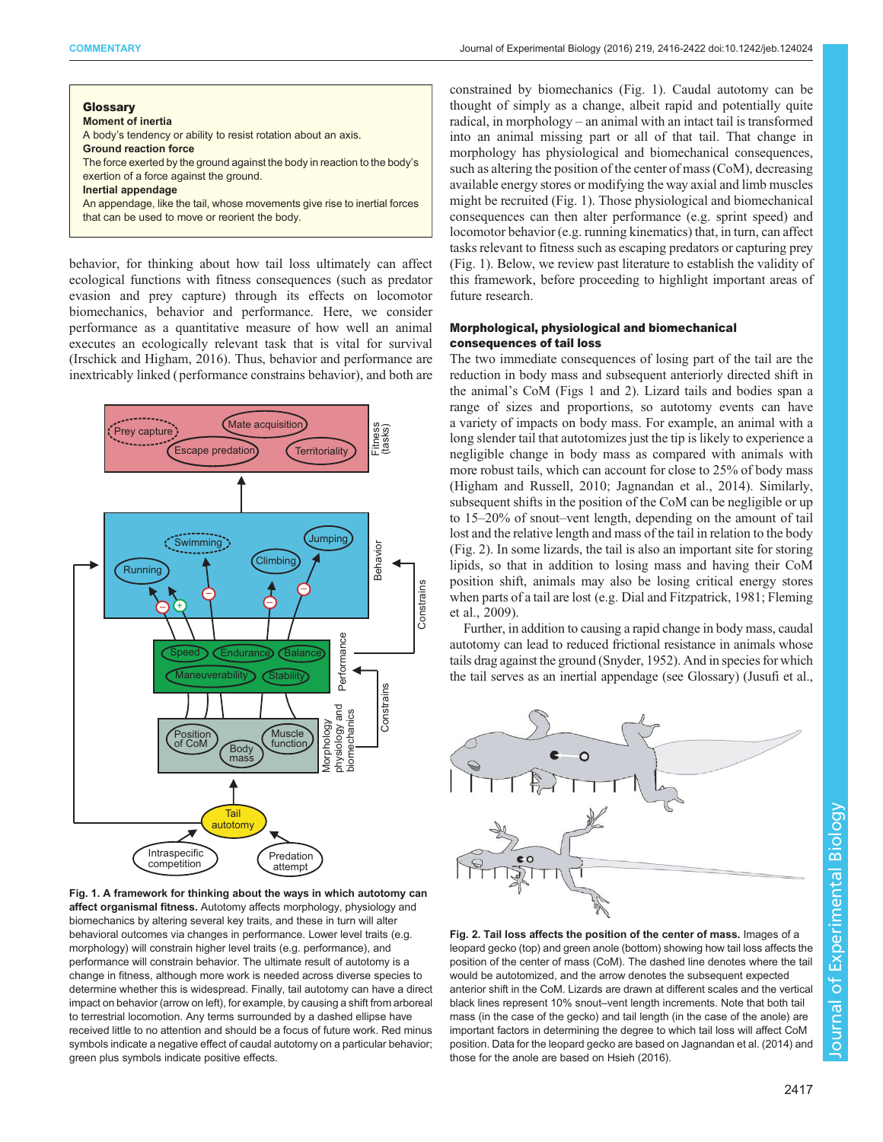# <span id="page-1-0"></span>**Glossary** Moment of inertia A body's tendency or ability to resist rotation about an axis. Ground reaction force The force exerted by the ground against the body in reaction to the body's exertion of a force against the ground. Inertial appendage An appendage, like the tail, whose movements give rise to inertial forces that can be used to move or reorient the body.

behavior, for thinking about how tail loss ultimately can affect ecological functions with fitness consequences (such as predator evasion and prey capture) through its effects on locomotor biomechanics, behavior and performance. Here, we consider performance as a quantitative measure of how well an animal executes an ecologically relevant task that is vital for survival [\(Irschick and Higham, 2016\)](#page-5-0). Thus, behavior and performance are inextricably linked ( performance constrains behavior), and both are



Fig. 1. A framework for thinking about the ways in which autotomy can affect organismal fitness. Autotomy affects morphology, physiology and biomechanics by altering several key traits, and these in turn will alter behavioral outcomes via changes in performance. Lower level traits (e.g. morphology) will constrain higher level traits (e.g. performance), and performance will constrain behavior. The ultimate result of autotomy is a change in fitness, although more work is needed across diverse species to determine whether this is widespread. Finally, tail autotomy can have a direct impact on behavior (arrow on left), for example, by causing a shift from arboreal to terrestrial locomotion. Any terms surrounded by a dashed ellipse have received little to no attention and should be a focus of future work. Red minus symbols indicate a negative effect of caudal autotomy on a particular behavior; green plus symbols indicate positive effects.

constrained by biomechanics (Fig. 1). Caudal autotomy can be thought of simply as a change, albeit rapid and potentially quite radical, in morphology – an animal with an intact tail is transformed into an animal missing part or all of that tail. That change in morphology has physiological and biomechanical consequences, such as altering the position of the center of mass (CoM), decreasing available energy stores or modifying the way axial and limb muscles might be recruited (Fig. 1). Those physiological and biomechanical consequences can then alter performance (e.g. sprint speed) and locomotor behavior (e.g. running kinematics) that, in turn, can affect tasks relevant to fitness such as escaping predators or capturing prey (Fig. 1). Below, we review past literature to establish the validity of this framework, before proceeding to highlight important areas of future research.

# Morphological, physiological and biomechanical consequences of tail loss

The two immediate consequences of losing part of the tail are the reduction in body mass and subsequent anteriorly directed shift in the animal's CoM (Figs 1 and 2). Lizard tails and bodies span a range of sizes and proportions, so autotomy events can have a variety of impacts on body mass. For example, an animal with a long slender tail that autotomizes just the tip is likely to experience a negligible change in body mass as compared with animals with more robust tails, which can account for close to 25% of body mass [\(Higham and Russell, 2010; Jagnandan et al., 2014](#page-5-0)). Similarly, subsequent shifts in the position of the CoM can be negligible or up to 15–20% of snout–vent length, depending on the amount of tail lost and the relative length and mass of the tail in relation to the body (Fig. 2). In some lizards, the tail is also an important site for storing lipids, so that in addition to losing mass and having their CoM position shift, animals may also be losing critical energy stores when parts of a tail are lost (e.g. [Dial and Fitzpatrick, 1981](#page-5-0); [Fleming](#page-5-0) [et al., 2009\)](#page-5-0).

Further, in addition to causing a rapid change in body mass, caudal autotomy can lead to reduced frictional resistance in animals whose tails drag against the ground [\(Snyder, 1952\)](#page-6-0). And in species for which the tail serves as an inertial appendage (see Glossary) ([Jusufi et al.,](#page-5-0)



Fig. 2. Tail loss affects the position of the center of mass. Images of a leopard gecko (top) and green anole (bottom) showing how tail loss affects the position of the center of mass (CoM). The dashed line denotes where the tail would be autotomized, and the arrow denotes the subsequent expected anterior shift in the CoM. Lizards are drawn at different scales and the vertical black lines represent 10% snout–vent length increments. Note that both tail mass (in the case of the gecko) and tail length (in the case of the anole) are important factors in determining the degree to which tail loss will affect CoM position. Data for the leopard gecko are based on [Jagnandan et al. \(2014\)](#page-5-0) and those for the anole are based on [Hsieh \(2016\).](#page-5-0)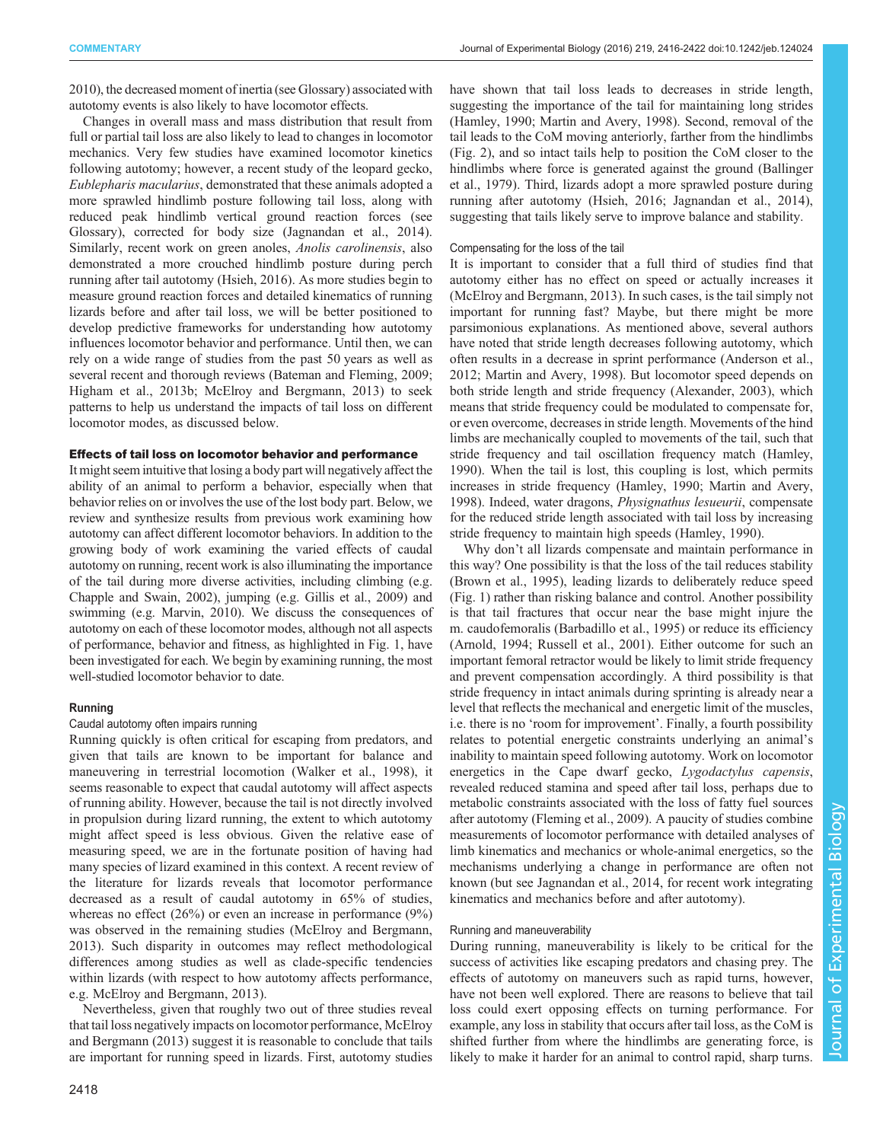[2010\)](#page-5-0), the decreased moment of inertia (see Glossary) associated with autotomy events is also likely to have locomotor effects.

Changes in overall mass and mass distribution that result from full or partial tail loss are also likely to lead to changes in locomotor mechanics. Very few studies have examined locomotor kinetics following autotomy; however, a recent study of the leopard gecko, Eublepharis macularius, demonstrated that these animals adopted a more sprawled hindlimb posture following tail loss, along with reduced peak hindlimb vertical ground reaction forces (see Glossary), corrected for body size [\(Jagnandan et al., 2014\)](#page-5-0). Similarly, recent work on green anoles, Anolis carolinensis, also demonstrated a more crouched hindlimb posture during perch running after tail autotomy ([Hsieh, 2016](#page-5-0)). As more studies begin to measure ground reaction forces and detailed kinematics of running lizards before and after tail loss, we will be better positioned to develop predictive frameworks for understanding how autotomy influences locomotor behavior and performance. Until then, we can rely on a wide range of studies from the past 50 years as well as several recent and thorough reviews ([Bateman and Fleming, 2009](#page-5-0); [Higham et al., 2013b;](#page-5-0) [McElroy and Bergmann, 2013](#page-6-0)) to seek patterns to help us understand the impacts of tail loss on different locomotor modes, as discussed below.

# Effects of tail loss on locomotor behavior and performance

It might seem intuitive that losing a body part will negatively affect the ability of an animal to perform a behavior, especially when that behavior relies on or involves the use of the lost body part. Below, we review and synthesize results from previous work examining how autotomy can affect different locomotor behaviors. In addition to the growing body of work examining the varied effects of caudal autotomy on running, recent work is also illuminating the importance of the tail during more diverse activities, including climbing (e.g. [Chapple and Swain, 2002\)](#page-5-0), jumping (e.g. [Gillis et al., 2009\)](#page-5-0) and swimming (e.g. [Marvin, 2010](#page-6-0)). We discuss the consequences of autotomy on each of these locomotor modes, although not all aspects of performance, behavior and fitness, as highlighted in [Fig. 1,](#page-1-0) have been investigated for each. We begin by examining running, the most well-studied locomotor behavior to date.

#### Running

#### Caudal autotomy often impairs running

Running quickly is often critical for escaping from predators, and given that tails are known to be important for balance and maneuvering in terrestrial locomotion ([Walker et al., 1998](#page-6-0)), it seems reasonable to expect that caudal autotomy will affect aspects of running ability. However, because the tail is not directly involved in propulsion during lizard running, the extent to which autotomy might affect speed is less obvious. Given the relative ease of measuring speed, we are in the fortunate position of having had many species of lizard examined in this context. A recent review of the literature for lizards reveals that locomotor performance decreased as a result of caudal autotomy in 65% of studies, whereas no effect (26%) or even an increase in performance (9%) was observed in the remaining studies [\(McElroy and Bergmann,](#page-6-0) [2013](#page-6-0)). Such disparity in outcomes may reflect methodological differences among studies as well as clade-specific tendencies within lizards (with respect to how autotomy affects performance, e.g. [McElroy and Bergmann, 2013\)](#page-6-0).

Nevertheless, given that roughly two out of three studies reveal that tail loss negatively impacts on locomotor performance, [McElroy](#page-6-0) [and Bergmann \(2013\)](#page-6-0) suggest it is reasonable to conclude that tails are important for running speed in lizards. First, autotomy studies

2418

have shown that tail loss leads to decreases in stride length, suggesting the importance of the tail for maintaining long strides [\(Hamley, 1990;](#page-5-0) [Martin and Avery, 1998\)](#page-6-0). Second, removal of the tail leads to the CoM moving anteriorly, farther from the hindlimbs [\(Fig. 2\)](#page-1-0), and so intact tails help to position the CoM closer to the hindlimbs where force is generated against the ground [\(Ballinger](#page-5-0) [et al., 1979](#page-5-0)). Third, lizards adopt a more sprawled posture during running after autotomy [\(Hsieh, 2016](#page-5-0); [Jagnandan et al., 2014\)](#page-5-0), suggesting that tails likely serve to improve balance and stability.

#### Compensating for the loss of the tail

It is important to consider that a full third of studies find that autotomy either has no effect on speed or actually increases it [\(McElroy and Bergmann, 2013](#page-6-0)). In such cases, is the tail simply not important for running fast? Maybe, but there might be more parsimonious explanations. As mentioned above, several authors have noted that stride length decreases following autotomy, which often results in a decrease in sprint performance ([Anderson et al.,](#page-5-0) [2012;](#page-5-0) [Martin and Avery, 1998\)](#page-6-0). But locomotor speed depends on both stride length and stride frequency [\(Alexander, 2003](#page-5-0)), which means that stride frequency could be modulated to compensate for, or even overcome, decreases in stride length. Movements of the hind limbs are mechanically coupled to movements of the tail, such that stride frequency and tail oscillation frequency match [\(Hamley,](#page-5-0) [1990\)](#page-5-0). When the tail is lost, this coupling is lost, which permits increases in stride frequency ([Hamley, 1990](#page-5-0); [Martin and Avery,](#page-6-0) [1998\)](#page-6-0). Indeed, water dragons, Physignathus lesueurii, compensate for the reduced stride length associated with tail loss by increasing stride frequency to maintain high speeds [\(Hamley, 1990\)](#page-5-0).

Why don't all lizards compensate and maintain performance in this way? One possibility is that the loss of the tail reduces stability [\(Brown et al., 1995\)](#page-5-0), leading lizards to deliberately reduce speed [\(Fig. 1](#page-1-0)) rather than risking balance and control. Another possibility is that tail fractures that occur near the base might injure the m. caudofemoralis ([Barbadillo et al., 1995\)](#page-5-0) or reduce its efficiency [\(Arnold, 1994;](#page-5-0) [Russell et al., 2001](#page-6-0)). Either outcome for such an important femoral retractor would be likely to limit stride frequency and prevent compensation accordingly. A third possibility is that stride frequency in intact animals during sprinting is already near a level that reflects the mechanical and energetic limit of the muscles, i.e. there is no 'room for improvement'. Finally, a fourth possibility relates to potential energetic constraints underlying an animal's inability to maintain speed following autotomy. Work on locomotor energetics in the Cape dwarf gecko, *Lygodactylus capensis*, revealed reduced stamina and speed after tail loss, perhaps due to metabolic constraints associated with the loss of fatty fuel sources after autotomy ([Fleming et al., 2009\)](#page-5-0). A paucity of studies combine measurements of locomotor performance with detailed analyses of limb kinematics and mechanics or whole-animal energetics, so the mechanisms underlying a change in performance are often not known (but see [Jagnandan et al., 2014,](#page-5-0) for recent work integrating kinematics and mechanics before and after autotomy).

#### Running and maneuverability

During running, maneuverability is likely to be critical for the success of activities like escaping predators and chasing prey. The effects of autotomy on maneuvers such as rapid turns, however, have not been well explored. There are reasons to believe that tail loss could exert opposing effects on turning performance. For example, any loss in stability that occurs after tail loss, as the CoM is shifted further from where the hindlimbs are generating force, is likely to make it harder for an animal to control rapid, sharp turns.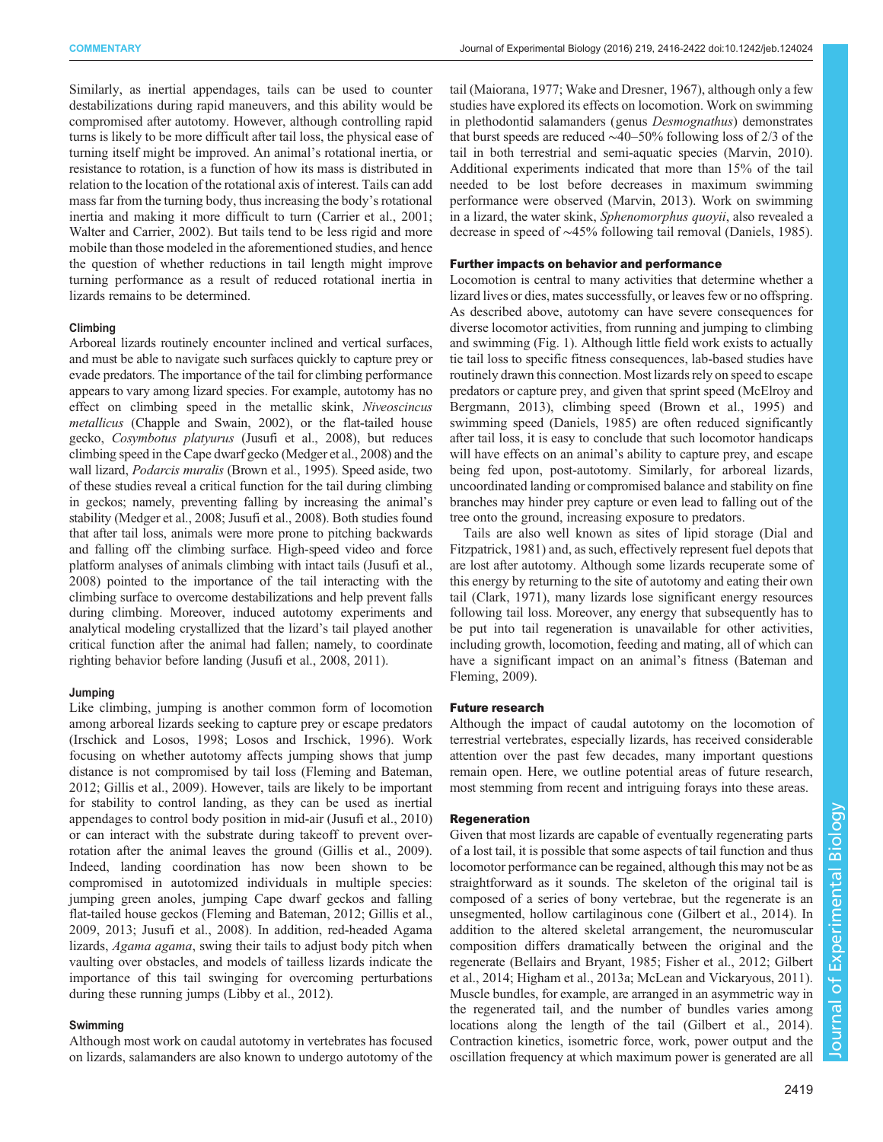Similarly, as inertial appendages, tails can be used to counter destabilizations during rapid maneuvers, and this ability would be compromised after autotomy. However, although controlling rapid turns is likely to be more difficult after tail loss, the physical ease of turning itself might be improved. An animal's rotational inertia, or resistance to rotation, is a function of how its mass is distributed in relation to the location of the rotational axis of interest. Tails can add mass far from the turning body, thus increasing the body's rotational inertia and making it more difficult to turn ([Carrier et al., 2001](#page-5-0); [Walter and Carrier, 2002\)](#page-6-0). But tails tend to be less rigid and more mobile than those modeled in the aforementioned studies, and hence the question of whether reductions in tail length might improve turning performance as a result of reduced rotational inertia in lizards remains to be determined.

#### Climbing

Arboreal lizards routinely encounter inclined and vertical surfaces, and must be able to navigate such surfaces quickly to capture prey or evade predators. The importance of the tail for climbing performance appears to vary among lizard species. For example, autotomy has no effect on climbing speed in the metallic skink, Niveoscincus metallicus [\(Chapple and Swain, 2002\)](#page-5-0), or the flat-tailed house gecko, Cosymbotus platyurus [\(Jusufi et al., 2008](#page-5-0)), but reduces climbing speed in the Cape dwarf gecko [\(Medger et al., 2008\)](#page-6-0) and the wall lizard, Podarcis muralis ([Brown et al., 1995](#page-5-0)). Speed aside, two of these studies reveal a critical function for the tail during climbing in geckos; namely, preventing falling by increasing the animal's stability [\(Medger et al., 2008;](#page-6-0) [Jusufi et al., 2008](#page-5-0)). Both studies found that after tail loss, animals were more prone to pitching backwards and falling off the climbing surface. High-speed video and force platform analyses of animals climbing with intact tails [\(Jusufi et al.,](#page-5-0) [2008\)](#page-5-0) pointed to the importance of the tail interacting with the climbing surface to overcome destabilizations and help prevent falls during climbing. Moreover, induced autotomy experiments and analytical modeling crystallized that the lizard's tail played another critical function after the animal had fallen; namely, to coordinate righting behavior before landing [\(Jusufi et al., 2008,](#page-5-0) [2011](#page-6-0)).

### Jumping

Like climbing, jumping is another common form of locomotion among arboreal lizards seeking to capture prey or escape predators [\(Irschick and Losos, 1998](#page-5-0); [Losos and Irschick, 1996\)](#page-6-0). Work focusing on whether autotomy affects jumping shows that jump distance is not compromised by tail loss [\(Fleming and Bateman,](#page-5-0) [2012](#page-5-0); [Gillis et al., 2009\)](#page-5-0). However, tails are likely to be important for stability to control landing, as they can be used as inertial appendages to control body position in mid-air ([Jusufi et al., 2010\)](#page-5-0) or can interact with the substrate during takeoff to prevent overrotation after the animal leaves the ground ([Gillis et al., 2009\)](#page-5-0). Indeed, landing coordination has now been shown to be compromised in autotomized individuals in multiple species: jumping green anoles, jumping Cape dwarf geckos and falling flat-tailed house geckos [\(Fleming and Bateman, 2012; Gillis et al.,](#page-5-0) [2009](#page-5-0), [2013](#page-5-0); [Jusufi et al., 2008\)](#page-5-0). In addition, red-headed Agama lizards, Agama agama, swing their tails to adjust body pitch when vaulting over obstacles, and models of tailless lizards indicate the importance of this tail swinging for overcoming perturbations during these running jumps [\(Libby et al., 2012\)](#page-6-0).

# Swimming

Although most work on caudal autotomy in vertebrates has focused on lizards, salamanders are also known to undergo autotomy of the tail ([Maiorana, 1977; Wake and Dresner, 1967\)](#page-6-0), although only a few studies have explored its effects on locomotion. Work on swimming in plethodontid salamanders (genus Desmognathus) demonstrates that burst speeds are reduced ∼40–50% following loss of 2/3 of the tail in both terrestrial and semi-aquatic species [\(Marvin, 2010\)](#page-6-0). Additional experiments indicated that more than 15% of the tail needed to be lost before decreases in maximum swimming performance were observed ([Marvin, 2013\)](#page-6-0). Work on swimming in a lizard, the water skink, Sphenomorphus quoyii, also revealed a decrease in speed of ∼45% following tail removal ([Daniels, 1985\)](#page-5-0).

#### Further impacts on behavior and performance

Locomotion is central to many activities that determine whether a lizard lives or dies, mates successfully, or leaves few or no offspring. As described above, autotomy can have severe consequences for diverse locomotor activities, from running and jumping to climbing and swimming [\(Fig. 1](#page-1-0)). Although little field work exists to actually tie tail loss to specific fitness consequences, lab-based studies have routinely drawn this connection. Most lizards rely on speed to escape predators or capture prey, and given that sprint speed ([McElroy and](#page-6-0) [Bergmann, 2013\)](#page-6-0), climbing speed [\(Brown et al., 1995](#page-5-0)) and swimming speed [\(Daniels, 1985](#page-5-0)) are often reduced significantly after tail loss, it is easy to conclude that such locomotor handicaps will have effects on an animal's ability to capture prey, and escape being fed upon, post-autotomy. Similarly, for arboreal lizards, uncoordinated landing or compromised balance and stability on fine branches may hinder prey capture or even lead to falling out of the tree onto the ground, increasing exposure to predators.

Tails are also well known as sites of lipid storage ([Dial and](#page-5-0) [Fitzpatrick, 1981\)](#page-5-0) and, as such, effectively represent fuel depots that are lost after autotomy. Although some lizards recuperate some of this energy by returning to the site of autotomy and eating their own tail [\(Clark, 1971](#page-5-0)), many lizards lose significant energy resources following tail loss. Moreover, any energy that subsequently has to be put into tail regeneration is unavailable for other activities, including growth, locomotion, feeding and mating, all of which can have a significant impact on an animal's fitness ([Bateman and](#page-5-0) [Fleming, 2009](#page-5-0)).

#### Future research

Although the impact of caudal autotomy on the locomotion of terrestrial vertebrates, especially lizards, has received considerable attention over the past few decades, many important questions remain open. Here, we outline potential areas of future research, most stemming from recent and intriguing forays into these areas.

# Regeneration

Given that most lizards are capable of eventually regenerating parts of a lost tail, it is possible that some aspects of tail function and thus locomotor performance can be regained, although this may not be as straightforward as it sounds. The skeleton of the original tail is composed of a series of bony vertebrae, but the regenerate is an unsegmented, hollow cartilaginous cone [\(Gilbert et al., 2014](#page-5-0)). In addition to the altered skeletal arrangement, the neuromuscular composition differs dramatically between the original and the regenerate ([Bellairs and Bryant, 1985; Fisher et al., 2012; Gilbert](#page-5-0) [et al., 2014; Higham et al., 2013a](#page-5-0); [McLean and Vickaryous, 2011\)](#page-6-0). Muscle bundles, for example, are arranged in an asymmetric way in the regenerated tail, and the number of bundles varies among locations along the length of the tail [\(Gilbert et al., 2014\)](#page-5-0). Contraction kinetics, isometric force, work, power output and the oscillation frequency at which maximum power is generated are all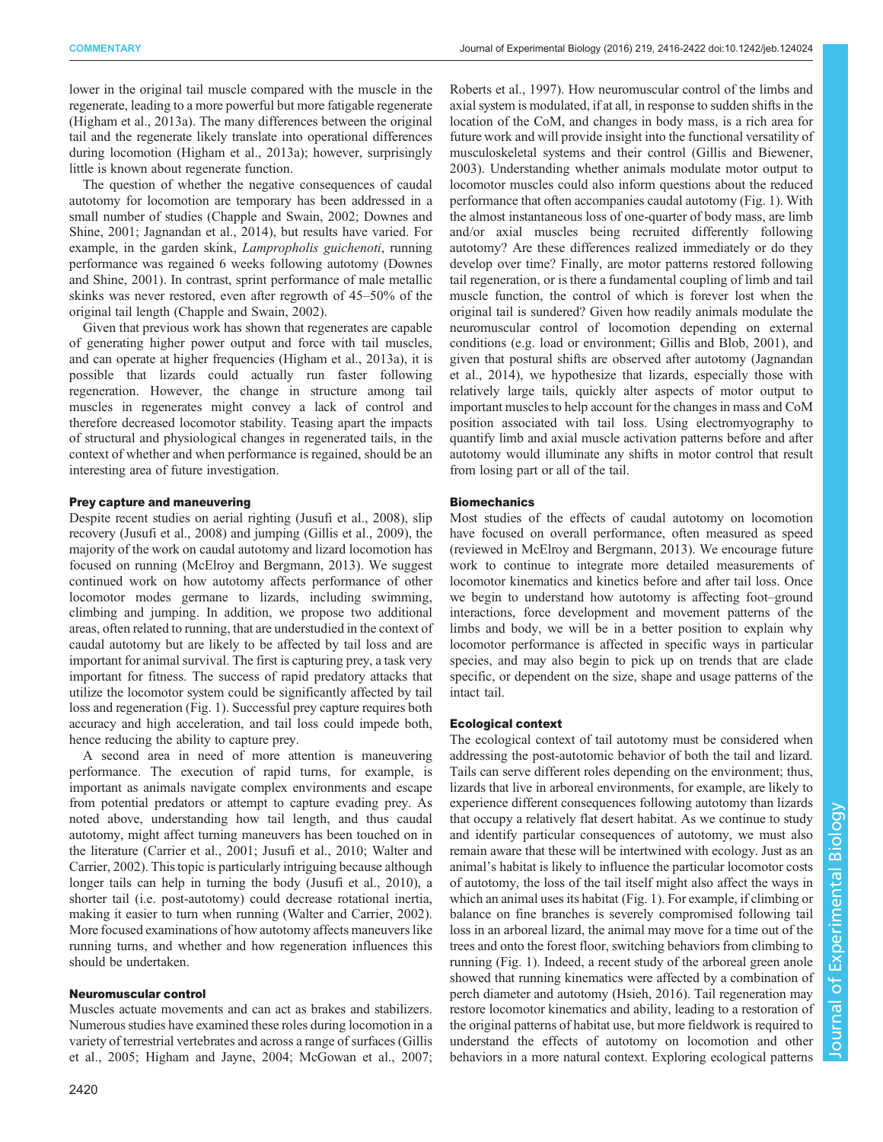lower in the original tail muscle compared with the muscle in the regenerate, leading to a more powerful but more fatigable regenerate [\(Higham et al., 2013a](#page-5-0)). The many differences between the original tail and the regenerate likely translate into operational differences during locomotion ([Higham et al., 2013a](#page-5-0)); however, surprisingly little is known about regenerate function.

The question of whether the negative consequences of caudal autotomy for locomotion are temporary has been addressed in a small number of studies ([Chapple and Swain, 2002](#page-5-0); [Downes and](#page-5-0) [Shine, 2001](#page-5-0); [Jagnandan et al., 2014](#page-5-0)), but results have varied. For example, in the garden skink, Lampropholis guichenoti, running performance was regained 6 weeks following autotomy [\(Downes](#page-5-0) [and Shine, 2001](#page-5-0)). In contrast, sprint performance of male metallic skinks was never restored, even after regrowth of 45–50% of the original tail length ([Chapple and Swain, 2002\)](#page-5-0).

Given that previous work has shown that regenerates are capable of generating higher power output and force with tail muscles, and can operate at higher frequencies ([Higham et al., 2013a](#page-5-0)), it is possible that lizards could actually run faster following regeneration. However, the change in structure among tail muscles in regenerates might convey a lack of control and therefore decreased locomotor stability. Teasing apart the impacts of structural and physiological changes in regenerated tails, in the context of whether and when performance is regained, should be an interesting area of future investigation.

## Prey capture and maneuvering

Despite recent studies on aerial righting [\(Jusufi et al., 2008\)](#page-5-0), slip recovery [\(Jusufi et al., 2008](#page-5-0)) and jumping ([Gillis et al., 2009](#page-5-0)), the majority of the work on caudal autotomy and lizard locomotion has focused on running [\(McElroy and Bergmann, 2013\)](#page-6-0). We suggest continued work on how autotomy affects performance of other locomotor modes germane to lizards, including swimming, climbing and jumping. In addition, we propose two additional areas, often related to running, that are understudied in the context of caudal autotomy but are likely to be affected by tail loss and are important for animal survival. The first is capturing prey, a task very important for fitness. The success of rapid predatory attacks that utilize the locomotor system could be significantly affected by tail loss and regeneration ([Fig. 1\)](#page-1-0). Successful prey capture requires both accuracy and high acceleration, and tail loss could impede both, hence reducing the ability to capture prey.

A second area in need of more attention is maneuvering performance. The execution of rapid turns, for example, is important as animals navigate complex environments and escape from potential predators or attempt to capture evading prey. As noted above, understanding how tail length, and thus caudal autotomy, might affect turning maneuvers has been touched on in the literature [\(Carrier et al., 2001](#page-5-0); [Jusufi et al., 2010](#page-5-0); [Walter and](#page-6-0) [Carrier, 2002\)](#page-6-0). This topic is particularly intriguing because although longer tails can help in turning the body [\(Jusufi et al., 2010\)](#page-5-0), a shorter tail (i.e. post-autotomy) could decrease rotational inertia, making it easier to turn when running [\(Walter and Carrier, 2002\)](#page-6-0). More focused examinations of how autotomy affects maneuvers like running turns, and whether and how regeneration influences this should be undertaken.

# Neuromuscular control

Muscles actuate movements and can act as brakes and stabilizers. Numerous studies have examined these roles during locomotion in a variety of terrestrial vertebrates and across a range of surfaces [\(Gillis](#page-5-0) [et al., 2005; Higham and Jayne, 2004;](#page-5-0) [McGowan et al., 2007](#page-6-0); [Roberts et al., 1997](#page-6-0)). How neuromuscular control of the limbs and axial system is modulated, if at all, in response to sudden shifts in the location of the CoM, and changes in body mass, is a rich area for future work and will provide insight into the functional versatility of musculoskeletal systems and their control ([Gillis and Biewener,](#page-5-0) [2003\)](#page-5-0). Understanding whether animals modulate motor output to locomotor muscles could also inform questions about the reduced performance that often accompanies caudal autotomy [\(Fig. 1\)](#page-1-0). With the almost instantaneous loss of one-quarter of body mass, are limb and/or axial muscles being recruited differently following autotomy? Are these differences realized immediately or do they develop over time? Finally, are motor patterns restored following tail regeneration, or is there a fundamental coupling of limb and tail muscle function, the control of which is forever lost when the original tail is sundered? Given how readily animals modulate the neuromuscular control of locomotion depending on external conditions (e.g. load or environment; [Gillis and Blob, 2001\)](#page-5-0), and given that postural shifts are observed after autotomy [\(Jagnandan](#page-5-0) [et al., 2014\)](#page-5-0), we hypothesize that lizards, especially those with relatively large tails, quickly alter aspects of motor output to important muscles to help account for the changes in mass and CoM position associated with tail loss. Using electromyography to quantify limb and axial muscle activation patterns before and after autotomy would illuminate any shifts in motor control that result from losing part or all of the tail.

#### **Biomechanics**

Most studies of the effects of caudal autotomy on locomotion have focused on overall performance, often measured as speed (reviewed in [McElroy and Bergmann, 2013](#page-6-0)). We encourage future work to continue to integrate more detailed measurements of locomotor kinematics and kinetics before and after tail loss. Once we begin to understand how autotomy is affecting foot–ground interactions, force development and movement patterns of the limbs and body, we will be in a better position to explain why locomotor performance is affected in specific ways in particular species, and may also begin to pick up on trends that are clade specific, or dependent on the size, shape and usage patterns of the intact tail.

#### Ecological context

The ecological context of tail autotomy must be considered when addressing the post-autotomic behavior of both the tail and lizard. Tails can serve different roles depending on the environment; thus, lizards that live in arboreal environments, for example, are likely to experience different consequences following autotomy than lizards that occupy a relatively flat desert habitat. As we continue to study and identify particular consequences of autotomy, we must also remain aware that these will be intertwined with ecology. Just as an animal's habitat is likely to influence the particular locomotor costs of autotomy, the loss of the tail itself might also affect the ways in which an animal uses its habitat [\(Fig. 1\)](#page-1-0). For example, if climbing or balance on fine branches is severely compromised following tail loss in an arboreal lizard, the animal may move for a time out of the trees and onto the forest floor, switching behaviors from climbing to running [\(Fig. 1](#page-1-0)). Indeed, a recent study of the arboreal green anole showed that running kinematics were affected by a combination of perch diameter and autotomy ([Hsieh, 2016\)](#page-5-0). Tail regeneration may restore locomotor kinematics and ability, leading to a restoration of the original patterns of habitat use, but more fieldwork is required to understand the effects of autotomy on locomotion and other behaviors in a more natural context. Exploring ecological patterns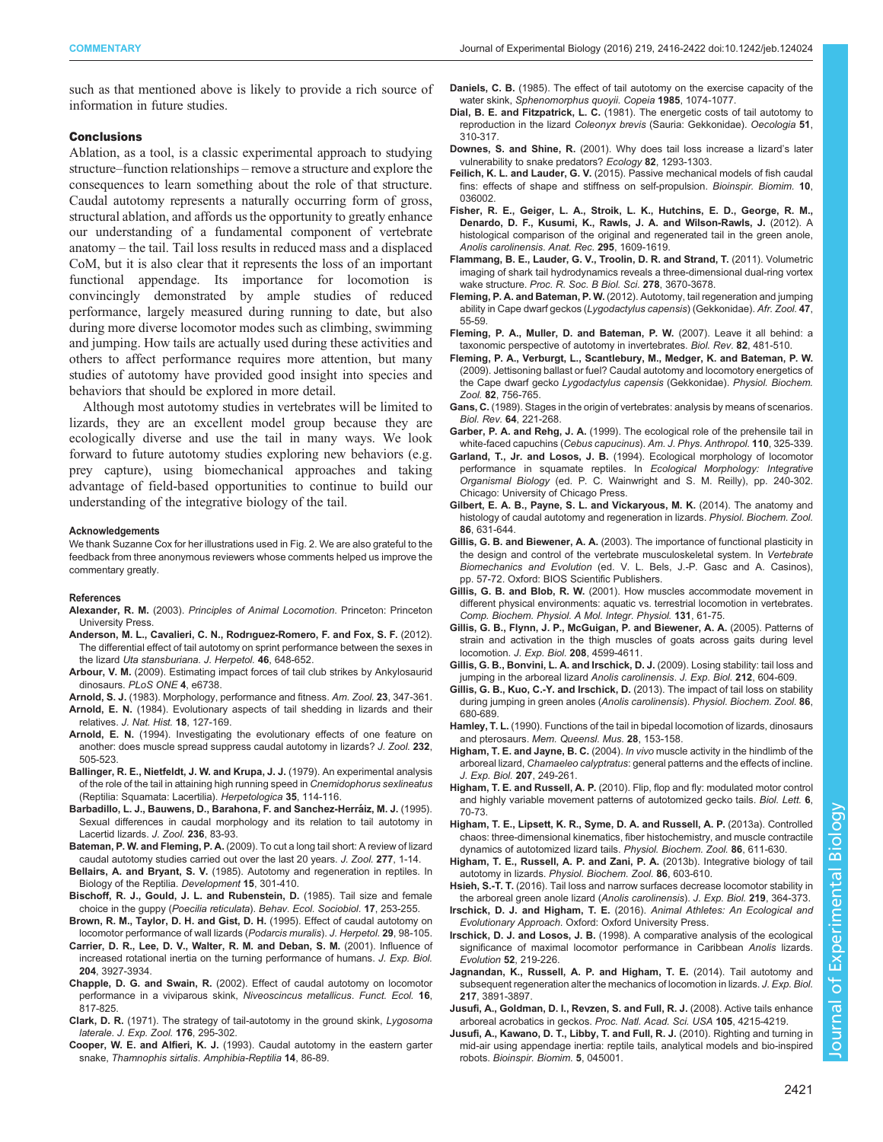<span id="page-5-0"></span>such as that mentioned above is likely to provide a rich source of information in future studies.

#### **Conclusions**

Ablation, as a tool, is a classic experimental approach to studying structure–function relationships – remove a structure and explore the consequences to learn something about the role of that structure. Caudal autotomy represents a naturally occurring form of gross, structural ablation, and affords us the opportunity to greatly enhance our understanding of a fundamental component of vertebrate anatomy – the tail. Tail loss results in reduced mass and a displaced CoM, but it is also clear that it represents the loss of an important functional appendage. Its importance for locomotion is convincingly demonstrated by ample studies of reduced performance, largely measured during running to date, but also during more diverse locomotor modes such as climbing, swimming and jumping. How tails are actually used during these activities and others to affect performance requires more attention, but many studies of autotomy have provided good insight into species and behaviors that should be explored in more detail.

Although most autotomy studies in vertebrates will be limited to lizards, they are an excellent model group because they are ecologically diverse and use the tail in many ways. We look forward to future autotomy studies exploring new behaviors (e.g. prey capture), using biomechanical approaches and taking advantage of field-based opportunities to continue to build our understanding of the integrative biology of the tail.

#### Acknowledgements

We thank Suzanne Cox for her illustrations used in [Fig. 2](#page-1-0). We are also grateful to the feedback from three anonymous reviewers whose comments helped us improve the commentary greatly.

#### References

- Alexander, R. M. (2003). Principles of Animal Locomotion. Princeton: Princeton University Press.
- [Anderson, M. L., Cavalieri, C. N., Rodr](http://dx.doi.org/10.1670/11-166)ıguez-Romero, F. and Fox, S. F. (2012). [The differential effect of tail autotomy on sprint performance between the sexes in](http://dx.doi.org/10.1670/11-166) the lizard [Uta stansburiana. J. Herpetol.](http://dx.doi.org/10.1670/11-166) 46, 648-652.
- Arbour, V. M. [\(2009\). Estimating impact forces of tail club strikes by Ankylosaurid](http://dx.doi.org/10.1371/journal.pone.0006738) dinosaurs. [PLoS ONE](http://dx.doi.org/10.1371/journal.pone.0006738) 4, e6738.
- Arnold, S. J. [\(1983\). Morphology, performance and fitness.](http://dx.doi.org/10.1093/icb/23.2.347) Am. Zool. 23, 347-361.
- Arnold, E. N. [\(1984\). Evolutionary aspects of tail shedding in lizards and their](http://dx.doi.org/10.1080/00222938400770131) relatives. [J. Nat. Hist.](http://dx.doi.org/10.1080/00222938400770131) 18, 127-169.
- Arnold, E. N. [\(1994\). Investigating the evolutionary effects of one feature on](http://dx.doi.org/10.1111/j.1469-7998.1994.tb01591.x) [another: does muscle spread suppress caudal autotomy in lizards?](http://dx.doi.org/10.1111/j.1469-7998.1994.tb01591.x) J. Zool. 232, [505-523.](http://dx.doi.org/10.1111/j.1469-7998.1994.tb01591.x)
- Ballinger, R. E., Nietfeldt, J. W. and Krupa, J. J. (1979). An experimental analysis of the role of the tail in attaining high running speed in Cnemidophorus sexlineatus (Reptilia: Squamata: Lacertilia). Herpetologica 35, 114-116.
- Barbadillo, L. J., Bauwens, D., Barahona, F. and Sanchez-Herráiz, M. J. (1995). [Sexual differences in caudal morphology and its relation to tail autotomy in](http://dx.doi.org/10.1111/j.1469-7998.1995.tb01786.x) [Lacertid lizards.](http://dx.doi.org/10.1111/j.1469-7998.1995.tb01786.x) J. Zool. 236, 83-93.
- Bateman, P. W. and Fleming, P. A. [\(2009\). To cut a long tail short: A review of lizard](http://dx.doi.org/10.1111/j.1469-7998.2008.00484.x) [caudal autotomy studies carried out over the last 20 years.](http://dx.doi.org/10.1111/j.1469-7998.2008.00484.x) J. Zool. 277, 1-14.
- Bellairs, A. and Bryant, S. V. (1985). Autotomy and regeneration in reptiles. In Biology of the Reptilia. Development 15, 301-410.
- [Bischoff, R. J., Gould, J. L. and Rubenstein, D.](http://dx.doi.org/10.1007/BF00300143) (1985). Tail size and female choice in the guppy (Poecilia reticulata). [Behav. Ecol. Sociobiol.](http://dx.doi.org/10.1007/BF00300143) 17, 253-255.
- [Brown, R. M., Taylor, D. H. and Gist, D. H.](http://dx.doi.org/10.2307/1565091) (1995). Effect of caudal autotomy on [locomotor performance of wall lizards \(](http://dx.doi.org/10.2307/1565091)Podarcis muralis). J. Herpetol. 29, 98-105.
- Carrier, D. R., Lee, D. V., Walter, R. M. and Deban, S. M. (2001). Influence of increased rotational inertia on the turning performance of humans. J. Exp. Biol. 204, 3927-3934.
- Chapple, D. G. and Swain, R. [\(2002\). Effect of caudal autotomy on locomotor](http://dx.doi.org/10.1046/j.1365-2435.2002.00687.x) [performance in a viviparous skink,](http://dx.doi.org/10.1046/j.1365-2435.2002.00687.x) Niveoscincus metallicus. Funct. Ecol. 16, [817-825.](http://dx.doi.org/10.1046/j.1365-2435.2002.00687.x)
- Clark, D. R. [\(1971\). The strategy of tail-autotomy in the ground skink,](http://dx.doi.org/10.1002/jez.1401760305) Lygosoma laterale. [J. Exp. Zool.](http://dx.doi.org/10.1002/jez.1401760305) 176, 295-302.
- Cooper, W. E. and Alfieri, K. J. [\(1993\). Caudal autotomy in the eastern garter](http://dx.doi.org/10.1163/156853893X00228) snake, [Thamnophis sirtalis](http://dx.doi.org/10.1163/156853893X00228). Amphibia-Reptilia 14, 86-89.

Daniels, C. B. [\(1985\). The effect of tail autotomy on the exercise capacity of the](http://dx.doi.org/10.2307/1445268) water skink. Sphenomorphus quovii. Copeia 1985, 1074-1077.

- Dial, B. E. and Fitzpatrick, L. C. [\(1981\). The energetic costs of tail autotomy to](http://dx.doi.org/10.1007/BF00540899) [reproduction in the lizard](http://dx.doi.org/10.1007/BF00540899) Coleonyx brevis (Sauria: Gekkonidae). Oecologia 51, [310-317.](http://dx.doi.org/10.1007/BF00540899)
- Downes, S. and Shine, R. [\(2001\). Why does tail loss increase a lizard](http://dx.doi.org/10.1890/0012-9658(2001)082[1293:WDTLIA]2.0.CO;2)'s later [vulnerability to snake predators?](http://dx.doi.org/10.1890/0012-9658(2001)082[1293:WDTLIA]2.0.CO;2) Ecology 82, 1293-1303.
- Feilich, K. L. and Lauder, G. V. [\(2015\). Passive mechanical models of fish caudal](http://dx.doi.org/10.1088/1748-3190/10/3/036002) [fins: effects of shape and stiffness on self-propulsion.](http://dx.doi.org/10.1088/1748-3190/10/3/036002) Bioinspir. Biomim. 10, [036002.](http://dx.doi.org/10.1088/1748-3190/10/3/036002)
- [Fisher, R. E., Geiger, L. A., Stroik, L. K., Hutchins, E. D., George, R. M.,](http://dx.doi.org/10.1002/ar.22537) [Denardo, D. F., Kusumi, K., Rawls, J. A. and Wilson-Rawls, J.](http://dx.doi.org/10.1002/ar.22537) (2012). A [histological comparison of the original and regenerated tail in the green anole,](http://dx.doi.org/10.1002/ar.22537) [Anolis carolinensis](http://dx.doi.org/10.1002/ar.22537). Anat. Rec. 295, 1609-1619.
- [Flammang, B. E., Lauder, G. V., Troolin, D. R. and Strand, T.](http://dx.doi.org/10.1098/rspb.2011.0489) (2011). Volumetric [imaging of shark tail hydrodynamics reveals a three-dimensional dual-ring vortex](http://dx.doi.org/10.1098/rspb.2011.0489) wake structure. [Proc. R. Soc. B Biol. Sci.](http://dx.doi.org/10.1098/rspb.2011.0489) 278, 3670-3678.
- Fleming, P. A. and Bateman, P. W. [\(2012\). Autotomy, tail regeneration and jumping](http://dx.doi.org/10.3377/004.047.0110) [ability in Cape dwarf geckos \(](http://dx.doi.org/10.3377/004.047.0110)Lygodactylus capensis) (Gekkonidae). Afr. Zool. 47, [55-59.](http://dx.doi.org/10.3377/004.047.0110)
- [Fleming, P. A., Muller, D. and Bateman, P. W.](http://dx.doi.org/10.1111/j.1469-185X.2007.00020.x) (2007). Leave it all behind: a [taxonomic perspective of autotomy in invertebrates.](http://dx.doi.org/10.1111/j.1469-185X.2007.00020.x) Biol. Rev. 82, 481-510.
- [Fleming, P. A., Verburgt, L., Scantlebury, M., Medger, K. and Bateman, P. W.](http://dx.doi.org/10.1086/605953) [\(2009\). Jettisoning ballast or fuel? Caudal autotomy and locomotory energetics of](http://dx.doi.org/10.1086/605953) the Cape dwarf gecko [Lygodactylus capensis](http://dx.doi.org/10.1086/605953) (Gekkonidae). Physiol. Biochem. Zool. 82[, 756-765.](http://dx.doi.org/10.1086/605953)
- Gans, C. [\(1989\). Stages in the origin of vertebrates: analysis by means of scenarios.](http://dx.doi.org/10.1111/j.1469-185X.1989.tb00471.x) Biol. Rev. 64[, 221-268.](http://dx.doi.org/10.1111/j.1469-185X.1989.tb00471.x)
- Garber, P. A. and Rehg, J. A. [\(1999\). The ecological role of the prehensile tail in](http://dx.doi.org/10.1002/(SICI)1096-8644(199911)110:3%3C325::AID-AJPA5%3D3.0.CO;2-D) [white-faced capuchins \(](http://dx.doi.org/10.1002/(SICI)1096-8644(199911)110:3%3C325::AID-AJPA5%3D3.0.CO;2-D)Cebus capucinus). Am. J. Phys. Anthropol. 110, 325-339.
- Garland, T., Jr. and Losos, J. B. (1994). Ecological morphology of locomotor performance in squamate reptiles. In Ecological Morphology: Integrative Organismal Biology (ed. P. C. Wainwright and S. M. Reilly), pp. 240-302. Chicago: University of Chicago Press.
- [Gilbert, E. A. B., Payne, S. L. and Vickaryous, M. K.](http://dx.doi.org/10.1086/673889) (2014). The anatomy and [histology of caudal autotomy and regeneration in lizards.](http://dx.doi.org/10.1086/673889) Physiol. Biochem. Zool. 86[, 631-644.](http://dx.doi.org/10.1086/673889)
- Gillis, G. B. and Biewener, A. A. (2003). The importance of functional plasticity in the design and control of the vertebrate musculoskeletal system. In Vertebrate Biomechanics and Evolution (ed. V. L. Bels, J.-P. Gasc and A. Casinos), pp. 57-72. Oxford: BIOS Scientific Publishers.
- Gillis, G. B. and Blob, R. W. [\(2001\). How muscles accommodate movement in](http://dx.doi.org/10.1016/S1095-6433(01)00466-4) [different physical environments: aquatic vs. terrestrial locomotion in vertebrates.](http://dx.doi.org/10.1016/S1095-6433(01)00466-4) [Comp. Biochem. Physiol. A Mol. Integr. Physiol.](http://dx.doi.org/10.1016/S1095-6433(01)00466-4) 131, 61-75.
- [Gillis, G. B., Flynn, J. P., McGuigan, P. and Biewener, A. A.](http://dx.doi.org/10.1242/jeb.01940) (2005). Patterns of [strain and activation in the thigh muscles of goats across gaits during level](http://dx.doi.org/10.1242/jeb.01940) locomotion. J. Exp. Biol. 208[, 4599-4611.](http://dx.doi.org/10.1242/jeb.01940)
- [Gillis, G. B., Bonvini, L. A. and Irschick, D. J.](http://dx.doi.org/10.1242/jeb.024349) (2009). Losing stability: tail loss and [jumping in the arboreal lizard](http://dx.doi.org/10.1242/jeb.024349) Anolis carolinensis. J. Exp. Biol. 212, 604-609.
- [Gillis, G. B., Kuo, C.-Y. and Irschick, D.](http://dx.doi.org/10.1086/673756) (2013). The impact of tail loss on stability [during jumping in green anoles \(](http://dx.doi.org/10.1086/673756)Anolis carolinensis). Physiol. Biochem. Zool. 86, [680-689.](http://dx.doi.org/10.1086/673756)
- Hamley, T. L. (1990). Functions of the tail in bipedal locomotion of lizards, dinosaurs and pterosaurs. Mem. Queensl. Mus. 28, 153-158.
- Higham, T. E. and Jayne, B. C. (2004). In vivo [muscle activity in the hindlimb of the](http://dx.doi.org/10.1242/jeb.00745) arboreal lizard, Chamaeleo calyptratus[: general patterns and the effects of incline.](http://dx.doi.org/10.1242/jeb.00745) [J. Exp. Biol.](http://dx.doi.org/10.1242/jeb.00745) 207, 249-261.
- Higham, T. E. and Russell, A. P. [\(2010\). Flip, flop and fly: modulated motor control](http://dx.doi.org/10.1098/rsbl.2009.0577) [and highly variable movement patterns of autotomized gecko tails.](http://dx.doi.org/10.1098/rsbl.2009.0577) Biol. Lett. 6, [70-73.](http://dx.doi.org/10.1098/rsbl.2009.0577)
- [Higham, T. E., Lipsett, K. R., Syme, D. A. and Russell, A. P.](http://dx.doi.org/10.1086/673546) (2013a). Controlled [chaos: three-dimensional kinematics, fiber histochemistry, and muscle contractile](http://dx.doi.org/10.1086/673546) [dynamics of autotomized lizard tails.](http://dx.doi.org/10.1086/673546) Physiol. Biochem. Zool. 86, 611-630.
- [Higham, T. E., Russell, A. P. and Zani, P. A.](http://dx.doi.org/10.1086/673875) (2013b). Integrative biology of tail autotomy in lizards. [Physiol. Biochem. Zool.](http://dx.doi.org/10.1086/673875) 86, 603-610.
- Hsieh, S.-T. T. [\(2016\). Tail loss and narrow surfaces decrease locomotor stability in](http://dx.doi.org/10.1242/jeb.124958) [the arboreal green anole lizard \(](http://dx.doi.org/10.1242/jeb.124958)Anolis carolinensis). J. Exp. Biol. 219, 364-373.
- Irschick, D. J. and Higham, T. E. (2016). Animal Athletes: An Ecological and Evolutionary Approach. Oxford: Oxford University Press.
- Irschick, D. J. and Losos, J. B. [\(1998\). A comparative analysis of the ecological](http://dx.doi.org/10.2307/2410937) [significance of maximal locomotor performance in Caribbean](http://dx.doi.org/10.2307/2410937) Anolis lizards. Evolution 52[, 219-226.](http://dx.doi.org/10.2307/2410937)
- [Jagnandan, K., Russell, A. P. and Higham, T. E.](http://dx.doi.org/10.1242/jeb.110916) (2014). Tail autotomy and [subsequent regeneration alter the mechanics of locomotion in lizards.](http://dx.doi.org/10.1242/jeb.110916) J. Exp. Biol. 217[, 3891-3897.](http://dx.doi.org/10.1242/jeb.110916)
- [Jusufi, A., Goldman, D. I., Revzen, S. and Full, R. J.](http://dx.doi.org/10.1073/pnas.0711944105) (2008). Active tails enhance [arboreal acrobatics in geckos.](http://dx.doi.org/10.1073/pnas.0711944105) Proc. Natl. Acad. Sci. USA 105, 4215-4219.
- [Jusufi, A., Kawano, D. T., Libby, T. and Full, R. J.](http://dx.doi.org/10.1088/1748-3182/5/4/045001) (2010). Righting and turning in [mid-air using appendage inertia: reptile tails, analytical models and bio-inspired](http://dx.doi.org/10.1088/1748-3182/5/4/045001) robots. [Bioinspir. Biomim.](http://dx.doi.org/10.1088/1748-3182/5/4/045001) 5, 045001.